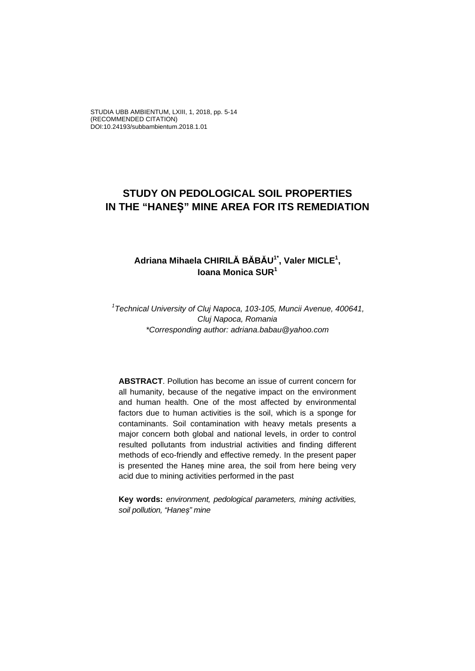STUDIA UBB AMBIENTUM, LXIII, 1, 2018, pp. 5-14 (RECOMMENDED CITATION) DOI:10.24193/subbambientum.2018.1.01

# **STUDY ON PEDOLOGICAL SOIL PROPERTIES IN THE "HANEȘ" MINE AREA FOR ITS REMEDIATION**

### **Adriana Mihaela CHIRILĂ BĂBĂU1\*, Valer MICLE1 , Ioana Monica SUR1**

*1 Technical University of Cluj Napoca, 103-105, Muncii Avenue, 400641, Cluj Napoca, Romania \*Corresponding author: adriana.babau@yahoo.com*

**ABSTRACT**. Pollution has become an issue of current concern for all humanity, because of the negative impact on the environment and human health. One of the most affected by environmental factors due to human activities is the soil, which is a sponge for contaminants. Soil contamination with heavy metals presents a major concern both global and national levels, in order to control resulted pollutants from industrial activities and finding different methods of eco-friendly and effective remedy. In the present paper is presented the Hanes mine area, the soil from here being very acid due to mining activities performed in the past

**Key words:** *environment, pedological parameters, mining activities, soil pollution, "Haneș" mine*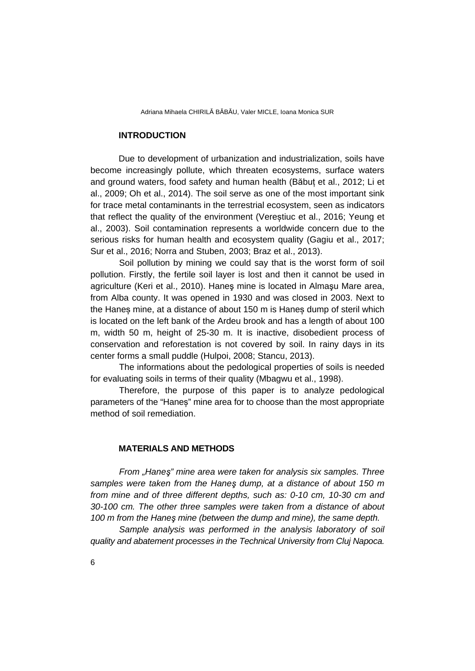#### **INTRODUCTION**

Due to development of urbanization and industrialization, soils have become increasingly pollute, which threaten ecosystems, surface waters and ground waters, food safety and human health (Băbuț et al., 2012; Li et al., 2009; Oh et al., 2014). The soil serve as one of the most important sink for trace metal contaminants in the terrestrial ecosystem, seen as indicators that reflect the quality of the environment (Vereștiuc et al., 2016; Yeung et al., 2003). Soil contamination represents a worldwide concern due to the serious risks for human health and ecosystem quality (Gagiu et al., 2017; Sur et al., 2016; Norra and Stuben, 2003; Braz et al., 2013).

Soil pollution by mining we could say that is the worst form of soil pollution. Firstly, the fertile soil layer is lost and then it cannot be used in agriculture (Keri et al., 2010). Haneş mine is located in Almaşu Mare area, from Alba county. It was opened in 1930 and was closed in 2003. Next to the Haneș mine, at a distance of about 150 m is Haneș dump of steril which is located on the left bank of the Ardeu brook and has a length of about 100 m, width 50 m, height of 25-30 m. It is inactive, disobedient process of conservation and reforestation is not covered by soil. In rainy days in its center forms a small puddle (Hulpoi, 2008; Stancu, 2013).

The informations about the pedological properties of soils is needed for evaluating soils in terms of their quality (Mbagwu et al., 1998).

Therefore, the purpose of this paper is to analyze pedological parameters of the "Haneș" mine area for to choose than the most appropriate method of soil remediation.

#### **MATERIALS AND METHODS**

*From "Haneş" mine area were taken for analysis six samples. Three samples were taken from the Haneş dump, at a distance of about 150 m from mine and of three different depths, such as: 0-10 cm, 10-30 cm and 30-100 cm. The other three samples were taken from a distance of about 100 m from the Haneş mine (between the dump and mine), the same depth.*

*Sample analysis was performed in the analysis laboratory of soil quality and abatement processes in the Technical University from Cluj Napoca.*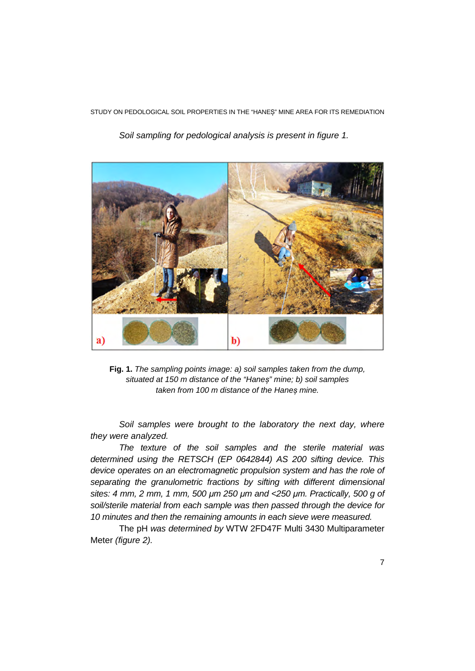STUDY ON PEDOLOGICAL SOIL PROPERTIES IN THE "HANEȘ" MINE AREA FOR ITS REMEDIATION



*Soil sampling for pedological analysis is present in figure 1.* 

**Fig. 1.** *The sampling points image: a) soil samples taken from the dump, situated at 150 m distance of the "Haneș" mine; b) soil samples taken from 100 m distance of the Haneș mine.* 

*Soil samples were brought to the laboratory the next day, where they were analyzed.* 

*The texture of the soil samples and the sterile material was determined using the RETSCH (EP 0642844) AS 200 sifting device. This device operates on an electromagnetic propulsion system and has the role of separating the granulometric fractions by sifting with different dimensional sites: 4 mm, 2 mm, 1 mm, 500 μm 250 μm and <250 μm. Practically, 500 g of soil/sterile material from each sample was then passed through the device for 10 minutes and then the remaining amounts in each sieve were measured.*

The pH *was determined by* WTW 2FD47F Multi 3430 Multiparameter Meter *(figure 2).*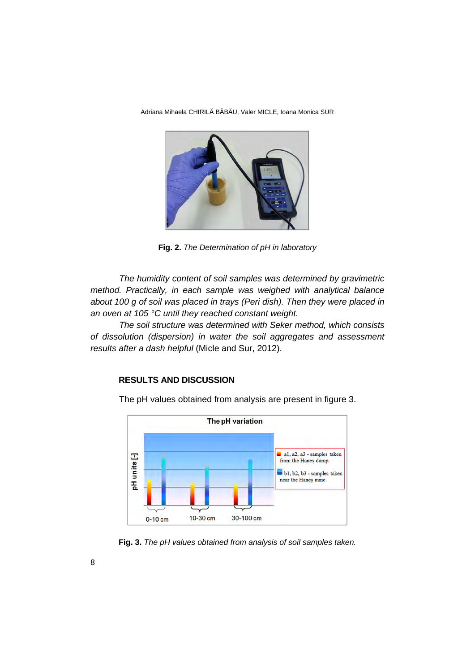

**Fig. 2.** *The Determination of pH in laboratory*

*The humidity content of soil samples was determined by gravimetric method. Practically, in each sample was weighed with analytical balance about 100 g of soil was placed in trays (Peri dish). Then they were placed in an oven at 105 °C until they reached constant weight.*

*The soil structure was determined with Seker method, which consists of dissolution (dispersion) in water the soil aggregates and assessment results after a dash helpful* (Micle and Sur, 2012).

### **RESULTS AND DISCUSSION**



The pH values obtained from analysis are present in figure 3.

**Fig. 3.** *The pH values obtained from analysis of soil samples taken.*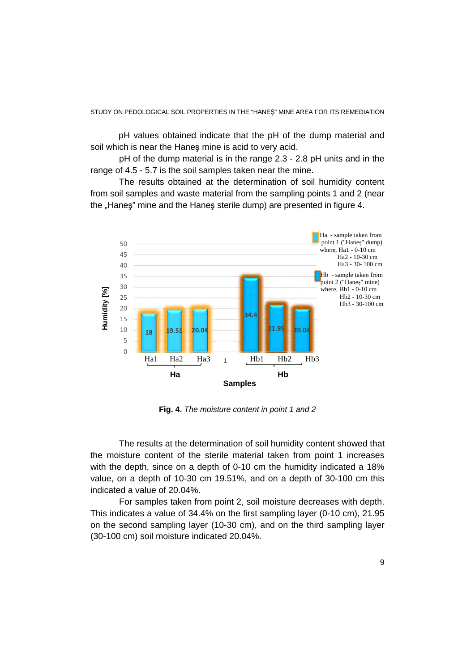pH values obtained indicate that the pH of the dump material and soil which is near the Haneş mine is acid to very acid.

 pH of the dump material is in the range 2.3 - 2.8 pH units and in the range of 4.5 - 5.7 is the soil samples taken near the mine.

 The results obtained at the determination of soil humidity content from soil samples and waste material from the sampling points 1 and 2 (near the "Hanes" mine and the Hanes sterile dump) are presented in figure 4.



**Fig. 4.** *The moisture content in point 1 and 2* 

 The results at the determination of soil humidity content showed that the moisture content of the sterile material taken from point 1 increases with the depth, since on a depth of 0-10 cm the humidity indicated a 18% value, on a depth of 10-30 cm 19.51%, and on a depth of 30-100 cm this indicated a value of 20.04%.

 For samples taken from point 2, soil moisture decreases with depth. This indicates a value of 34.4% on the first sampling layer (0-10 cm), 21.95 on the second sampling layer (10-30 cm), and on the third sampling layer (30-100 cm) soil moisture indicated 20.04%.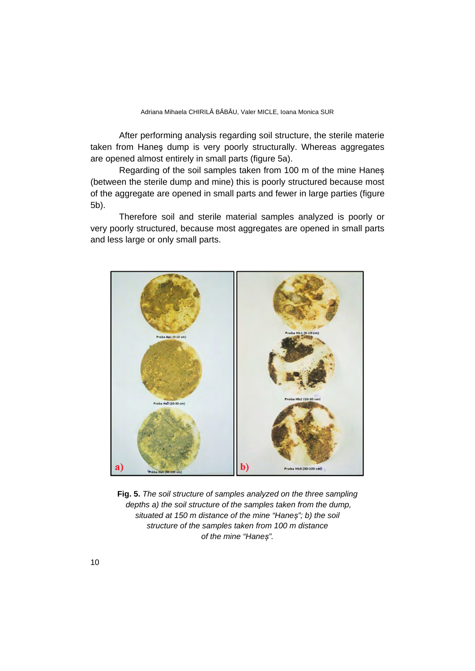After performing analysis regarding soil structure, the sterile materie taken from Haneş dump is very poorly structurally. Whereas aggregates are opened almost entirely in small parts (figure 5a).

Regarding of the soil samples taken from 100 m of the mine Haneș (between the sterile dump and mine) this is poorly structured because most of the aggregate are opened in small parts and fewer in large parties (figure 5b).

Therefore soil and sterile material samples analyzed is poorly or very poorly structured, because most aggregates are opened in small parts and less large or only small parts.



**Fig. 5.** *The soil structure of samples analyzed on the three sampling depths a) the soil structure of the samples taken from the dump, situated at 150 m distance of the mine "Haneș"; b) the soil structure of the samples taken from 100 m distance of the mine "Haneș".*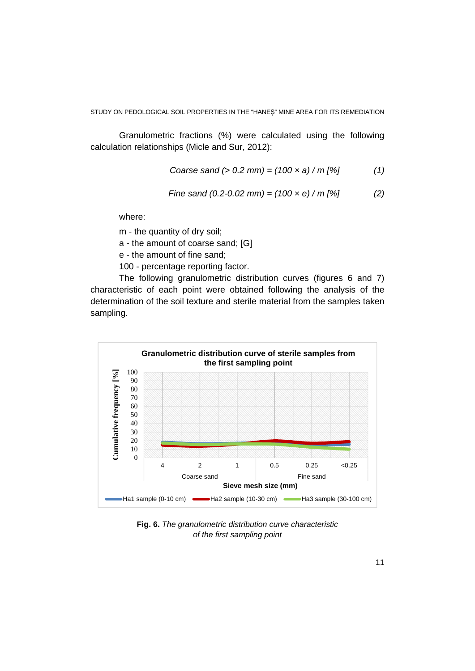Granulometric fractions (%) were calculated using the following calculation relationships (Micle and Sur, 2012):

Coarse sand (> 0.2 mm) = 
$$
(100 \times a) / m
$$
 [%) (1)

$$
Time sand (0.2-0.02 mm) = (100 \times e) / m [%]
$$
 (2)

where:

m - the quantity of dry soil;

a - the amount of coarse sand; [G]

e - the amount of fine sand;

100 - percentage reporting factor.

The following granulometric distribution curves (figures 6 and 7) characteristic of each point were obtained following the analysis of the determination of the soil texture and sterile material from the samples taken sampling.



**Fig. 6.** *The granulometric distribution curve characteristic of the first sampling point*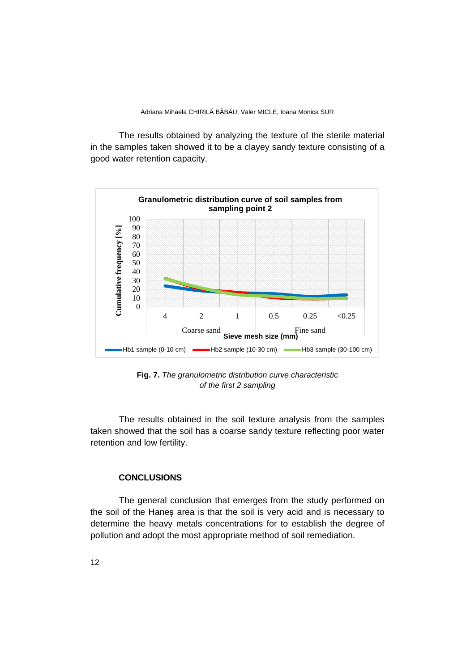The results obtained by analyzing the texture of the sterile material in the samples taken showed it to be a clayey sandy texture consisting of a good water retention capacity.



**Fig. 7.** *The granulometric distribution curve characteristic of the first 2 sampling* 

The results obtained in the soil texture analysis from the samples taken showed that the soil has a coarse sandy texture reflecting poor water retention and low fertility.

## **CONCLUSIONS**

The general conclusion that emerges from the study performed on the soil of the Haneș area is that the soil is very acid and is necessary to determine the heavy metals concentrations for to establish the degree of pollution and adopt the most appropriate method of soil remediation.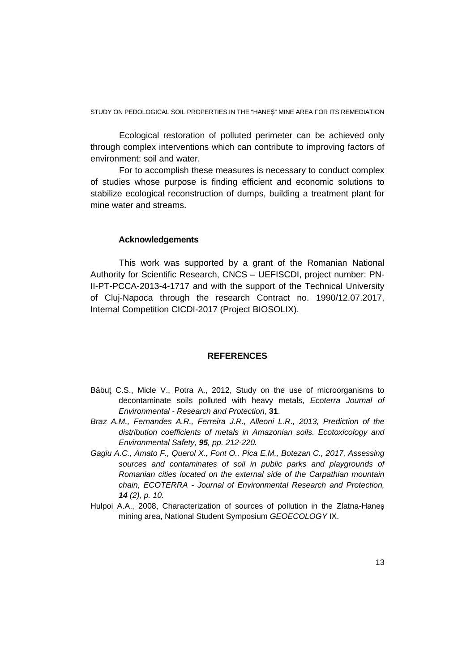STUDY ON PEDOLOGICAL SOIL PROPERTIES IN THE "HANEȘ" MINE AREA FOR ITS REMEDIATION

Ecological restoration of polluted perimeter can be achieved only through complex interventions which can contribute to improving factors of environment: soil and water.

For to accomplish these measures is necessary to conduct complex of studies whose purpose is finding efficient and economic solutions to stabilize ecological reconstruction of dumps, building a treatment plant for mine water and streams.

### **Acknowledgements**

This work was supported by a grant of the Romanian National Authority for Scientific Research, CNCS – UEFISCDI, project number: PN-II-PT-PCCA-2013-4-1717 and with the support of the Technical University of Cluj-Napoca through the research Contract no. 1990/12.07.2017, Internal Competition CICDI-2017 (Project BIOSOLIX).

### **REFERENCES**

- Băbuţ C.S., Micle V., Potra A., 2012, Study on the use of microorganisms to decontaminate soils polluted with heavy metals, *Ecoterra Journal of Environmental - Research and Protection*, **31**.
- *Braz A.M., Fernandes A.R., Ferreira J.R., Alleoni L.R., 2013, Prediction of the distribution coefficients of metals in Amazonian soils. Ecotoxicology and Environmental Safety, 95, pp. 212-220.*
- *Gagiu A.C., Amato F., Querol X., Font O., Pica E.M., Botezan C., 2017, Assessing sources and contaminates of soil in public parks and playgrounds of Romanian cities located on the external side of the Carpathian mountain chain, ECOTERRA - Journal of Environmental Research and Protection, 14 (2), p. 10.*
- Hulpoi A.A., 2008, Characterization of sources of pollution in the Zlatna-Haneş mining area, National Student Symposium *GEOECOLOGY* IX.